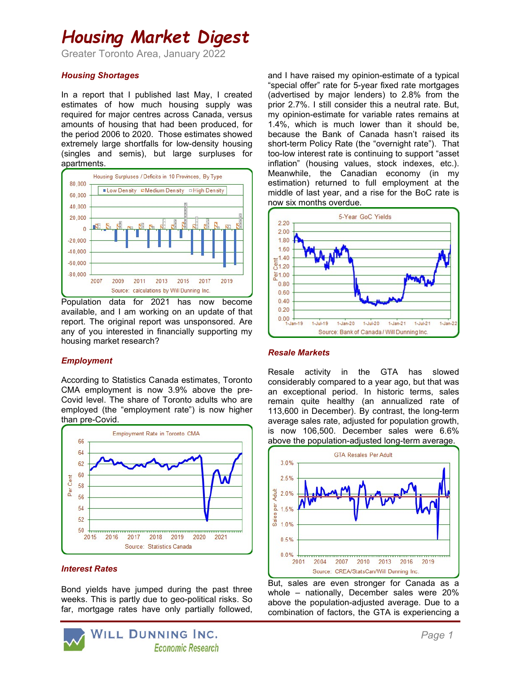## Housing Market Digest

Greater Toronto Area, January 2022

### Housing Shortages

In a report that I published last May, I created estimates of how much housing supply was required for major centres across Canada, versus amounts of housing that had been produced, for the period 2006 to 2020. Those estimates showed extremely large shortfalls for low-density housing (singles and semis), but large surpluses for apartments.



Population data for 2021 has now become available, and I am working on an update of that report. The original report was unsponsored. Are any of you interested in financially supporting my housing market research?

### **Employment**

According to Statistics Canada estimates, Toronto CMA employment is now 3.9% above the pre-Covid level. The share of Toronto adults who are employed (the "employment rate") is now higher than pre-Covid.



#### Interest Rates

Bond yields have jumped during the past three weeks. This is partly due to geo-political risks. So far, mortgage rates have only partially followed,



and I have raised my opinion-estimate of a typical "special offer" rate for 5-year fixed rate mortgages (advertised by major lenders) to 2.8% from the prior 2.7%. I still consider this a neutral rate. But, my opinion-estimate for variable rates remains at 1.4%, which is much lower than it should be, because the Bank of Canada hasn't raised its short-term Policy Rate (the "overnight rate"). That too-low interest rate is continuing to support "asset inflation" (housing values, stock indexes, etc.). Meanwhile, the Canadian economy (in my estimation) returned to full employment at the middle of last year, and a rise for the BoC rate is now six months overdue.



### Resale Markets

Resale activity in the GTA has slowed considerably compared to a year ago, but that was an exceptional period. In historic terms, sales remain quite healthy (an annualized rate of 113,600 in December). By contrast, the long-term average sales rate, adjusted for population growth, is now 106,500. December sales were 6.6% above the population-adjusted long-term average.



But, sales are even stronger for Canada as a whole – nationally, December sales were 20% above the population-adjusted average. Due to a combination of factors, the GTA is experiencing a